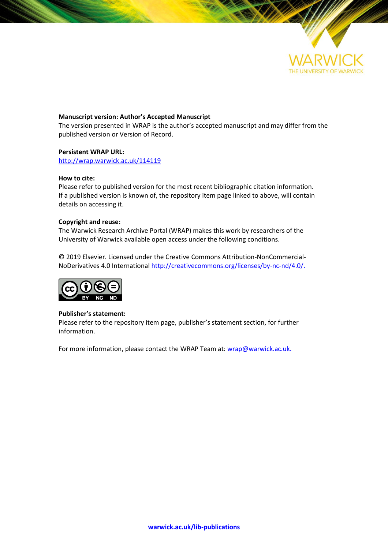

# **Manuscript version: Author's Accepted Manuscript**

The version presented in WRAP is the author's accepted manuscript and may differ from the published version or Version of Record.

# **Persistent WRAP URL:**

<http://wrap.warwick.ac.uk/114119>

# **How to cite:**

Please refer to published version for the most recent bibliographic citation information. If a published version is known of, the repository item page linked to above, will contain details on accessing it.

# **Copyright and reuse:**

The Warwick Research Archive Portal (WRAP) makes this work by researchers of the University of Warwick available open access under the following conditions.

© 2019 Elsevier. Licensed under the Creative Commons Attribution-NonCommercial-NoDerivatives 4.0 International [http://creativecommons.org/licenses/by-nc-nd/4.0/.](http://creativecommons.org/licenses/by-nc-nd/4.0/)



# **Publisher's statement:**

Please refer to the repository item page, publisher's statement section, for further information.

For more information, please contact the WRAP Team at[: wrap@warwick.ac.uk.](mailto:wrap@warwick.ac.uk)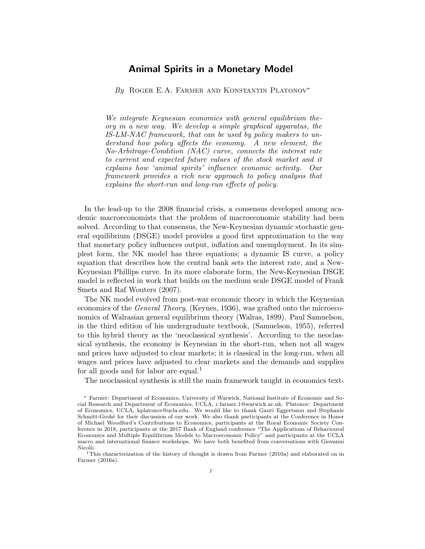# Animal Spirits in a Monetary Model

By ROGER E.A. FARMER AND KONSTANTIN PLATONOV<sup>\*</sup>

We integrate Keynesian economics with general equilibrium theory in a new way. We develop a simple graphical apparatus, the IS-LM-NAC framework, that can be used by policy makers to understand how policy affects the economy. A new element, the No-Arbitrage-Condition (NAC) curve, connects the interest rate to current and expected future values of the stock market and it explains how 'animal spirits' influence economic activity. Our framework provides a rich new approach to policy analysis that explains the short-run and long-run effects of policy.

In the lead-up to the 2008 financial crisis, a consensus developed among academic macroeconomists that the problem of macroeconomic stability had been solved. According to that consensus, the New-Keynesian dynamic stochastic general equilibrium (DSGE) model provides a good first approximation to the way that monetary policy influences output, inflation and unemployment. In its simplest form, the NK model has three equations; a dynamic IS curve, a policy equation that describes how the central bank sets the interest rate, and a New-Keynesian Phillips curve. In its more elaborate form, the New-Keynesian DSGE model is reflected in work that builds on the medium scale DSGE model of Frank Smets and Raf Wouters (2007).

The NK model evolved from post-war economic theory in which the Keynesian economics of the General Theory, (Keynes, 1936), was grafted onto the microeconomics of Walrasian general equilibrium theory (Walras, 1899). Paul Samuelson, in the third edition of his undergraduate textbook, (Samuelson, 1955), referred to this hybrid theory as the 'neoclassical synthesis'. According to the neoclassical synthesis, the economy is Keynesian in the short-run, when not all wages and prices have adjusted to clear markets; it is classical in the long-run, when all wages and prices have adjusted to clear markets and the demands and supplies for all goods and for labor are equal.<sup>1</sup>

The neoclassical synthesis is still the main framework taught in economics text-

<sup>∗</sup> Farmer: Department of Economics, University of Warwick, National Institute of Economic and Social Research and Department of Economics, UCLA, r.farmer.1@warwick.ac.uk. Platonov: Department of Economics, UCLA, kplatonov@ucla.edu. We would like to thank Gauti Eggertsson and Stephanie Schmitt-Grohé for their discussion of our work. We also thank participants at the Conference in Honor of Michael Woodford's Contributions to Economics, participants at the Royal Economic Society Conference in 2018, participants at the 2017 Bank of England conference "The Applications of Behavioural Economics and Multiple Equilibrium Models to Macroeconomic Policy" and participants at the UCLA macro and international finance workshops. We have both benefited from conversations with Giovanni Nicolò.

<sup>&</sup>lt;sup>1</sup>This characterization of the history of thought is drawn from Farmer (2010a) and elaborated on in Farmer (2016a).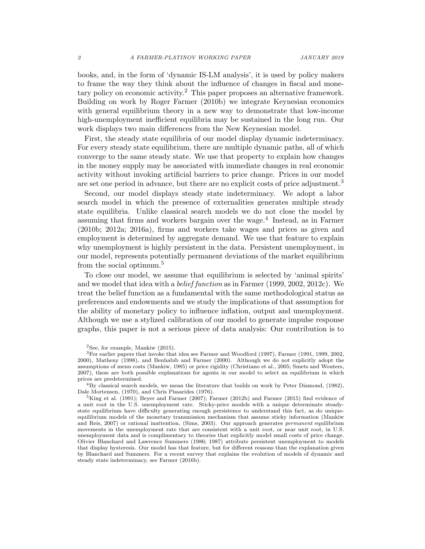books, and, in the form of 'dynamic IS-LM analysis', it is used by policy makers to frame the way they think about the influence of changes in fiscal and monetary policy on economic activity.<sup>2</sup> This paper proposes an alternative framework. Building on work by Roger Farmer (2010b) we integrate Keynesian economics with general equilibrium theory in a new way to demonstrate that low-income high-unemployment inefficient equilibria may be sustained in the long run. Our work displays two main differences from the New Keynesian model.

First, the steady state equilibria of our model display dynamic indeterminacy. For every steady state equilibrium, there are multiple dynamic paths, all of which converge to the same steady state. We use that property to explain how changes in the money supply may be associated with immediate changes in real economic activity without invoking artificial barriers to price change. Prices in our model are set one period in advance, but there are no explicit costs of price adjustment.<sup>3</sup>

Second, our model displays steady state indeterminacy. We adopt a labor search model in which the presence of externalities generates multiple steady state equilibria. Unlike classical search models we do not close the model by assuming that firms and workers bargain over the wage.<sup>4</sup> Instead, as in Farmer (2010b; 2012a; 2016a), firms and workers take wages and prices as given and employment is determined by aggregate demand. We use that feature to explain why unemployment is highly persistent in the data. Persistent unemployment, in our model, represents potentially permanent deviations of the market equilibrium from the social optimum.<sup>5</sup>

To close our model, we assume that equilibrium is selected by 'animal spirits' and we model that idea with a belief function as in Farmer (1999, 2002, 2012c). We treat the belief function as a fundamental with the same methodological status as preferences and endowments and we study the implications of that assumption for the ability of monetary policy to influence inflation, output and unemployment. Although we use a stylized calibration of our model to generate impulse response graphs, this paper is not a serious piece of data analysis: Our contribution is to

<sup>4</sup>By classical search models, we mean the literature that builds on work by Peter Diamond, (1982), Dale Mortensen, (1970), and Chris Pissarides (1976).

<sup>5</sup>King et al. (1991); Beyer and Farmer (2007); Farmer (2012b) and Farmer (2015) find evidence of a unit root in the U.S. unemployment rate. Sticky-price models with a unique determinate steadystate equilibrium have difficulty generating enough persistence to understand this fact, as do uniqueequilibrium models of the monetary transmission mechanism that assume sticky information (Mankiw and Reis, 2007) or rational inattention, (Sims, 2003). Our approach generates permanent equilibrium movements in the unemployment rate that are consistent with a unit root, or near unit root, in U.S. unemployment data and is complimentary to theories that explicitly model small costs of price change. Olivier Blanchard and Lawrence Summers (1986; 1987) attribute persistent unemployment to models that display hysteresis. Our model has that feature, but for different reasons than the explanation given by Blanchard and Summers. For a recent survey that explains the evolution of models of dynamic and steady state indeterminacy, see Farmer (2016b).

 $2$ See, for example, Mankiw  $(2015)$ .

<sup>&</sup>lt;sup>3</sup>For earlier papers that invoke that idea see Farmer and Woodford (1997), Farmer (1991, 1999, 2002, 2000), Matheny (1998), and Benhabib and Farmer (2000). Although we do not explicitly adopt the assumptions of menu costs (Mankiw, 1985) or price rigidity (Christiano et al., 2005; Smets and Wouters, 2007), these are both possible explanations for agents in our model to select an equilibrium in which prices are predetermined.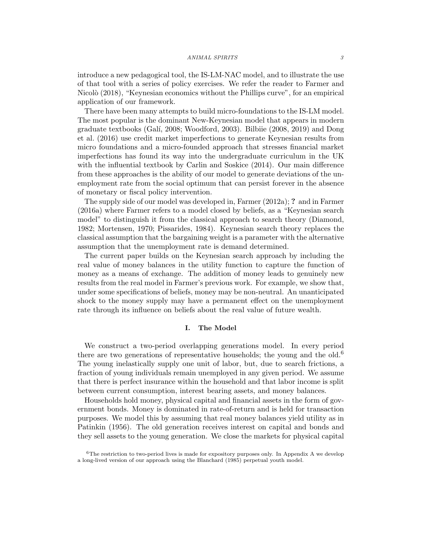introduce a new pedagogical tool, the IS-LM-NAC model, and to illustrate the use of that tool with a series of policy exercises. We refer the reader to Farmer and Nicolò (2018), "Keynesian economics without the Phillips curve", for an empirical application of our framework.

There have been many attempts to build micro-foundations to the IS-LM model. The most popular is the dominant New-Keynesian model that appears in modern graduate textbooks (Gal´ı, 2008; Woodford, 2003). Bilbiie (2008, 2019) and Dong et al. (2016) use credit market imperfections to generate Keynesian results from micro foundations and a micro-founded approach that stresses financial market imperfections has found its way into the undergraduate curriculum in the UK with the influential textbook by Carlin and Soskice (2014). Our main difference from these approaches is the ability of our model to generate deviations of the unemployment rate from the social optimum that can persist forever in the absence of monetary or fiscal policy intervention.

The supply side of our model was developed in, Farmer (2012a); ? and in Farmer (2016a) where Farmer refers to a model closed by beliefs, as a "Keynesian search model" to distinguish it from the classical approach to search theory (Diamond, 1982; Mortensen, 1970; Pissarides, 1984). Keynesian search theory replaces the classical assumption that the bargaining weight is a parameter with the alternative assumption that the unemployment rate is demand determined.

The current paper builds on the Keynesian search approach by including the real value of money balances in the utility function to capture the function of money as a means of exchange. The addition of money leads to genuinely new results from the real model in Farmer's previous work. For example, we show that, under some specifications of beliefs, money may be non-neutral. An unanticipated shock to the money supply may have a permanent effect on the unemployment rate through its influence on beliefs about the real value of future wealth.

## I. The Model

We construct a two-period overlapping generations model. In every period there are two generations of representative households; the young and the old.<sup>6</sup> The young inelastically supply one unit of labor, but, due to search frictions, a fraction of young individuals remain unemployed in any given period. We assume that there is perfect insurance within the household and that labor income is split between current consumption, interest bearing assets, and money balances.

Households hold money, physical capital and financial assets in the form of government bonds. Money is dominated in rate-of-return and is held for transaction purposes. We model this by assuming that real money balances yield utility as in Patinkin (1956). The old generation receives interest on capital and bonds and they sell assets to the young generation. We close the markets for physical capital

 $6$ The restriction to two-period lives is made for expository purposes only. In Appendix A we develop a long-lived version of our approach using the Blanchard (1985) perpetual youth model.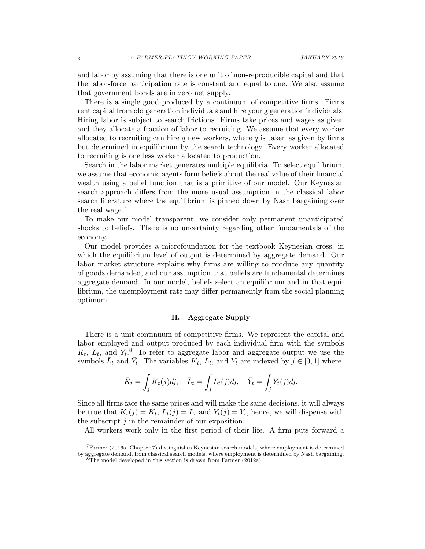and labor by assuming that there is one unit of non-reproducible capital and that the labor-force participation rate is constant and equal to one. We also assume that government bonds are in zero net supply.

There is a single good produced by a continuum of competitive firms. Firms rent capital from old generation individuals and hire young generation individuals. Hiring labor is subject to search frictions. Firms take prices and wages as given and they allocate a fraction of labor to recruiting. We assume that every worker allocated to recruiting can hire q new workers, where  $q$  is taken as given by firms but determined in equilibrium by the search technology. Every worker allocated to recruiting is one less worker allocated to production.

Search in the labor market generates multiple equilibria. To select equilibrium, we assume that economic agents form beliefs about the real value of their financial wealth using a belief function that is a primitive of our model. Our Keynesian search approach differs from the more usual assumption in the classical labor search literature where the equilibrium is pinned down by Nash bargaining over the real wage.<sup>7</sup>

To make our model transparent, we consider only permanent unanticipated shocks to beliefs. There is no uncertainty regarding other fundamentals of the economy.

Our model provides a microfoundation for the textbook Keynesian cross, in which the equilibrium level of output is determined by aggregate demand. Our labor market structure explains why firms are willing to produce any quantity of goods demanded, and our assumption that beliefs are fundamental determines aggregate demand. In our model, beliefs select an equilibrium and in that equilibrium, the unemployment rate may differ permanently from the social planning optimum.

### II. Aggregate Supply

There is a unit continuum of competitive firms. We represent the capital and labor employed and output produced by each individual firm with the symbols  $K_t$ ,  $L_t$ , and  $Y_t$ .<sup>8</sup> To refer to aggregate labor and aggregate output we use the symbols  $\bar{L}_t$  and  $\bar{Y}_t$ . The variables  $K_t$ ,  $L_t$ , and  $Y_t$  are indexed by  $j \in [0, 1]$  where

$$
\bar{K}_t = \int_j K_t(j)dj, \quad \bar{L}_t = \int_j L_t(j)dj, \quad \bar{Y}_t = \int_j Y_t(j)dj.
$$

Since all firms face the same prices and will make the same decisions, it will always be true that  $K_t(j) = K_t$ ,  $L_t(j) = L_t$  and  $Y_t(j) = Y_t$ , hence, we will dispense with the subscript  $j$  in the remainder of our exposition.

All workers work only in the first period of their life. A firm puts forward a

<sup>7</sup>Farmer (2016a, Chapter 7) distinguishes Keynesian search models, where employment is determined by aggregate demand, from classical search models, where employment is determined by Nash bargaining.  $8$ The model developed in this section is drawn from Farmer (2012a).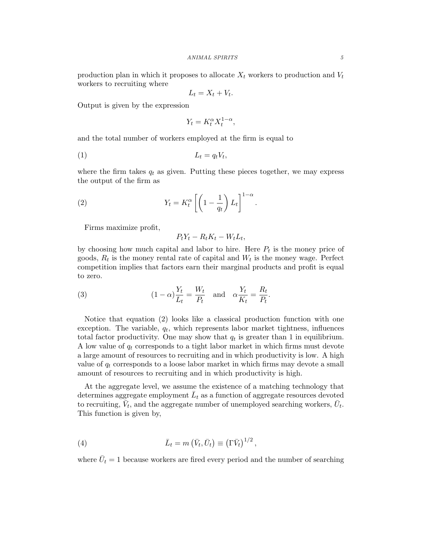production plan in which it proposes to allocate  $X_t$  workers to production and  $V_t$ workers to recruiting where

$$
L_t = X_t + V_t.
$$

Output is given by the expression

$$
Y_t = K_t^{\alpha} X_t^{1-\alpha},
$$

and the total number of workers employed at the firm is equal to

$$
(1) \t\t\t L_t = q_t V_t,
$$

where the firm takes  $q_t$  as given. Putting these pieces together, we may express the output of the firm as

(2) 
$$
Y_t = K_t^{\alpha} \left[ \left( 1 - \frac{1}{q_t} \right) L_t \right]^{1-\alpha}
$$

Firms maximize profit,

 $P_tY_t - R_tK_t - W_tL_t,$ 

.

by choosing how much capital and labor to hire. Here  $P_t$  is the money price of goods,  $R_t$  is the money rental rate of capital and  $W_t$  is the money wage. Perfect competition implies that factors earn their marginal products and profit is equal to zero.

(3) 
$$
(1 - \alpha) \frac{Y_t}{L_t} = \frac{W_t}{P_t} \text{ and } \alpha \frac{Y_t}{K_t} = \frac{R_t}{P_t}.
$$

Notice that equation (2) looks like a classical production function with one exception. The variable,  $q_t$ , which represents labor market tightness, influences total factor productivity. One may show that  $q_t$  is greater than 1 in equilibrium. A low value of  $q_t$  corresponds to a tight labor market in which firms must devote a large amount of resources to recruiting and in which productivity is low. A high value of  $q_t$  corresponds to a loose labor market in which firms may devote a small amount of resources to recruiting and in which productivity is high.

At the aggregate level, we assume the existence of a matching technology that determines aggregate employment  $\bar{L}_t$  as a function of aggregate resources devoted to recruiting,  $\overline{V}_t$ , and the aggregate number of unemployed searching workers,  $\overline{U}_t$ . This function is given by,

(4) 
$$
\bar{L}_t = m(\bar{V}_t, \bar{U}_t) \equiv (\Gamma \bar{V}_t)^{1/2},
$$

where  $\bar{U}_t = 1$  because workers are fired every period and the number of searching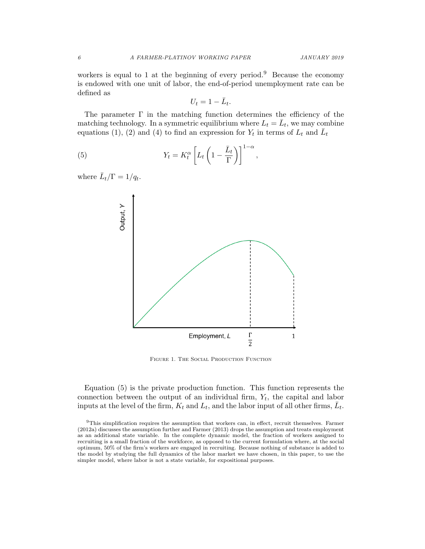workers is equal to 1 at the beginning of every period.<sup>9</sup> Because the economy is endowed with one unit of labor, the end-of-period unemployment rate can be defined as

$$
U_t = 1 - \bar{L}_t.
$$

The parameter  $\Gamma$  in the matching function determines the efficiency of the matching technology. In a symmetric equilibrium where  $L_t = \bar{L}_t$ , we may combine equations (1), (2) and (4) to find an expression for  $Y_t$  in terms of  $L_t$  and  $\bar{L}_t$ 

(5) 
$$
Y_t = K_t^{\alpha} \left[ L_t \left( 1 - \frac{\bar{L}_t}{\Gamma} \right) \right]^{1-\alpha},
$$

where  $\bar{L}_t/\Gamma = 1/q_t$ .



FIGURE 1. THE SOCIAL PRODUCTION FUNCTION

Equation (5) is the private production function. This function represents the connection between the output of an individual firm,  $Y_t$ , the capital and labor inputs at the level of the firm,  $K_t$  and  $L_t$ , and the labor input of all other firms,  $\bar{L}_t$ .

 $9$ This simplification requires the assumption that workers can, in effect, recruit themselves. Farmer (2012a) discusses the assumption further and Farmer (2013) drops the assumption and treats employment as an additional state variable. In the complete dynamic model, the fraction of workers assigned to recruiting is a small fraction of the workforce, as opposed to the current formulation where, at the social optimum, 50% of the firm's workers are engaged in recruiting. Because nothing of substance is added to the model by studying the full dynamics of the labor market we have chosen, in this paper, to use the simpler model, where labor is not a state variable, for expositional purposes.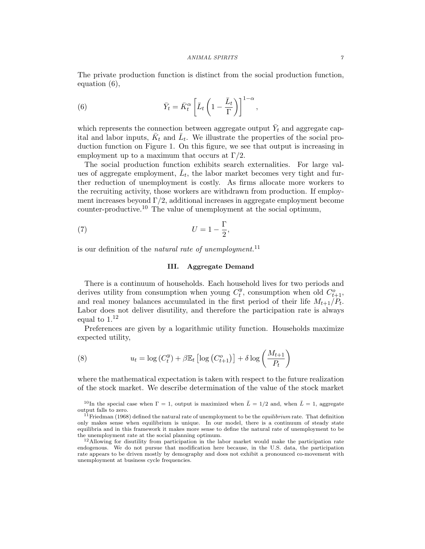The private production function is distinct from the social production function, equation (6),

(6) 
$$
\bar{Y}_t = \bar{K}_t^{\alpha} \left[ \bar{L}_t \left( 1 - \frac{\bar{L}_t}{\Gamma} \right) \right]^{1-\alpha},
$$

which represents the connection between aggregate output  $\bar{Y}_t$  and aggregate capital and labor inputs,  $\bar{K}_t$  and  $\bar{L}_t$ . We illustrate the properties of the social production function on Figure 1. On this figure, we see that output is increasing in employment up to a maximum that occurs at  $\Gamma/2$ .

The social production function exhibits search externalities. For large values of aggregate employment,  $\bar{L}_t$ , the labor market becomes very tight and further reduction of unemployment is costly. As firms allocate more workers to the recruiting activity, those workers are withdrawn from production. If employment increases beyond  $\Gamma/2$ , additional increases in aggregate employment become counter-productive.<sup>10</sup> The value of unemployment at the social optimum,

$$
(7) \tU = 1 - \frac{\Gamma}{2},
$$

is our definition of the *natural rate of unemployment*.<sup>11</sup>

#### III. Aggregate Demand

There is a continuum of households. Each household lives for two periods and derives utility from consumption when young  $C_t^y$  $t^y$ , consumption when old  $C_{t+1}^o$ , and real money balances accumulated in the first period of their life  $M_{t+1}/P_t$ . Labor does not deliver disutility, and therefore the participation rate is always equal to  $1<sup>12</sup>$ 

Preferences are given by a logarithmic utility function. Households maximize expected utility,

(8) 
$$
u_t = \log(C_t^y) + \beta \mathbb{E}_t \left[ \log(C_{t+1}^o) \right] + \delta \log \left( \frac{M_{t+1}}{P_t} \right)
$$

where the mathematical expectation is taken with respect to the future realization of the stock market. We describe determination of the value of the stock market

<sup>&</sup>lt;sup>10</sup>In the special case when  $\Gamma = 1$ , output is maximized when  $\overline{L} = 1/2$  and, when  $\overline{L} = 1$ , aggregate output falls to zero.

 $11$  Friedman (1968) defined the natural rate of unemployment to be the *equilibrium* rate. That definition only makes sense when equilibrium is unique. In our model, there is a continuum of steady state equilibria and in this framework it makes more sense to define the natural rate of unemployment to be the unemployment rate at the social planning optimum.

<sup>&</sup>lt;sup>12</sup>Allowing for disutility from participation in the labor market would make the participation rate endogenous. We do not pursue that modification here because, in the U.S. data, the participation rate appears to be driven mostly by demography and does not exhibit a pronounced co-movement with unemployment at business cycle frequencies.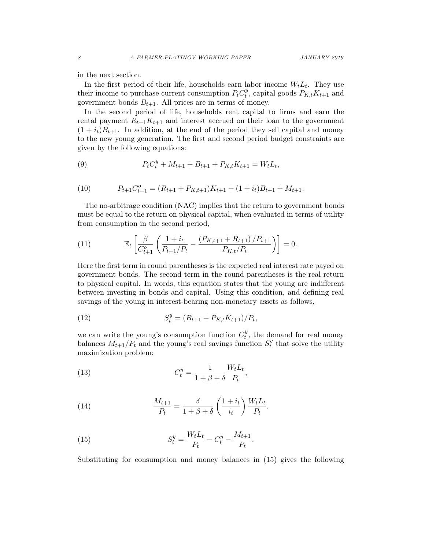in the next section.

In the first period of their life, households earn labor income  $W_t L_t$ . They use their income to purchase current consumption  $P_t C_t^y$  $t<sup>y</sup>$ , capital goods  $P_{K,t}K_{t+1}$  and government bonds  $B_{t+1}$ . All prices are in terms of money.

In the second period of life, households rent capital to firms and earn the rental payment  $R_{t+1}K_{t+1}$  and interest accrued on their loan to the government  $(1 + i_t)B_{t+1}$ . In addition, at the end of the period they sell capital and money to the new young generation. The first and second period budget constraints are given by the following equations:

(9) 
$$
P_t C_t^y + M_{t+1} + B_{t+1} + P_{K,t} K_{t+1} = W_t L_t,
$$

(10) 
$$
P_{t+1}C_{t+1}^o = (R_{t+1} + P_{K,t+1})K_{t+1} + (1 + i_t)B_{t+1} + M_{t+1}.
$$

The no-arbitrage condition (NAC) implies that the return to government bonds must be equal to the return on physical capital, when evaluated in terms of utility from consumption in the second period,

(11) 
$$
\mathbb{E}_t \left[ \frac{\beta}{C_{t+1}^o} \left( \frac{1+i_t}{P_{t+1}/P_t} - \frac{\left( P_{K,t+1} + R_{t+1} \right) / P_{t+1}}{P_{K,t}/P_t} \right) \right] = 0.
$$

Here the first term in round parentheses is the expected real interest rate payed on government bonds. The second term in the round parentheses is the real return to physical capital. In words, this equation states that the young are indifferent between investing in bonds and capital. Using this condition, and defining real savings of the young in interest-bearing non-monetary assets as follows,

(12) 
$$
S_t^y = (B_{t+1} + P_{K,t} K_{t+1})/P_t,
$$

we can write the young's consumption function  $C_t^y$  $t<sup>y</sup>$ , the demand for real money balances  $M_{t+1}/P_t$  and the young's real savings function  $S_t^y$  $t<sub>t</sub><sup>y</sup>$  that solve the utility maximization problem:

(13) 
$$
C_t^y = \frac{1}{1+\beta+\delta} \frac{W_t L_t}{P_t},
$$

(14) 
$$
\frac{M_{t+1}}{P_t} = \frac{\delta}{1+\beta+\delta} \left(\frac{1+i_t}{i_t}\right) \frac{W_t L_t}{P_t}.
$$

(15) 
$$
S_t^y = \frac{W_t L_t}{P_t} - C_t^y - \frac{M_{t+1}}{P_t}.
$$

Substituting for consumption and money balances in (15) gives the following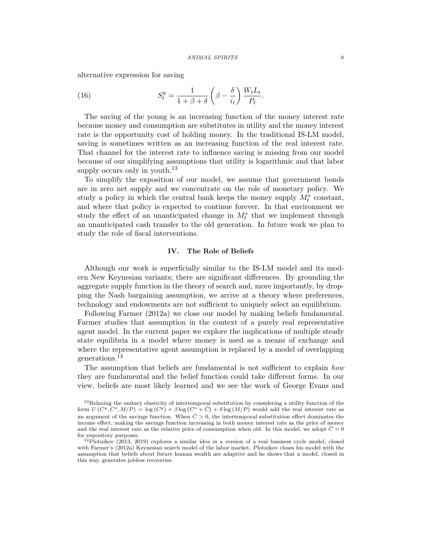alternative expression for saving

(16) 
$$
S_t^y = \frac{1}{1+\beta+\delta} \left(\beta - \frac{\delta}{i_t}\right) \frac{W_t L_t}{P_t}.
$$

The saving of the young is an increasing function of the money interest rate because money and consumption are substitutes in utility and the money interest rate is the opportunity cost of holding money. In the traditional IS-LM model, saving is sometimes written as an increasing function of the real interest rate. That channel for the interest rate to influence saving is missing from our model because of our simplifying assumptions that utility is logarithmic and that labor supply occurs only in youth. $^{13}$ 

To simplify the exposition of our model, we assume that government bonds are in zero net supply and we concentrate on the role of monetary policy. We study a policy in which the central bank keeps the money supply  $M_t^*$  constant, and where that policy is expected to continue forever. In that environment we study the effect of an unanticipated change in  $M_t^*$  that we implement through an unanticipated cash transfer to the old generation. In future work we plan to study the role of fiscal interventions.

### IV. The Role of Beliefs

Although our work is superficially similar to the IS-LM model and its modern New Keynesian variants; there are significant differences. By grounding the aggregate supply function in the theory of search and, more importantly, by dropping the Nash bargaining assumption, we arrive at a theory where preferences, technology and endowments are not sufficient to uniquely select an equilibrium.

Following Farmer (2012a) we close our model by making beliefs fundamental. Farmer studies that assumption in the context of a purely real representative agent model. In the current paper we explore the implications of multiple steady state equilibria in a model where money is used as a means of exchange and where the representative agent assumption is replaced by a model of overlapping generations.<sup>14</sup>

The assumption that beliefs are fundamental is not sufficient to explain how they are fundamental and the belief function could take different forms. In our view, beliefs are most likely learned and we see the work of George Evans and

<sup>13</sup>Relaxing the unitary elasticity of intertemporal substitution by considering a utility function of the form  $U(C^y, C^o, M/P) = \log(C^y) + \beta \log(C^o + \overline{C}) + \delta \log(M/P)$  would add the real interest rate as an argument of the savings function. When  $\bar{C} > 0$ , the intertemporal substitution effect dominates the income effect, making the savings function increasing in both money interest rate as the price of money and the real interest rate as the relative price of consumption when old. In this model, we adopt  $\bar{C}=0$ for expository purposes.

<sup>14</sup>Plotnikov (2013, 2019) explores a similar idea in a version of a real business cycle model, closed with Farmer's (2012a) Keynesian search model of the labor market. Plotnikov closes his model with the assumption that beliefs about future human wealth are adaptive and he shows that a model, closed in this way, generates jobless recoveries.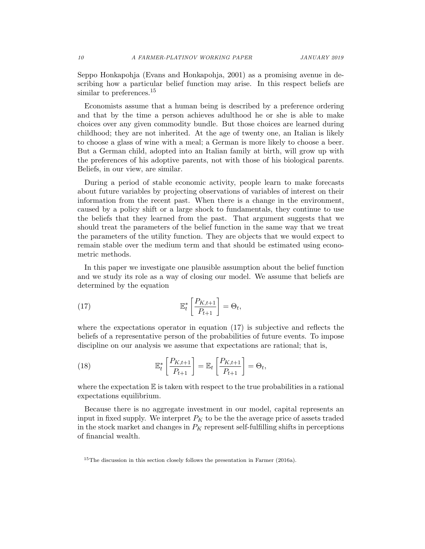Seppo Honkapohja (Evans and Honkapohja, 2001) as a promising avenue in describing how a particular belief function may arise. In this respect beliefs are similar to preferences.<sup>15</sup>

Economists assume that a human being is described by a preference ordering and that by the time a person achieves adulthood he or she is able to make choices over any given commodity bundle. But those choices are learned during childhood; they are not inherited. At the age of twenty one, an Italian is likely to choose a glass of wine with a meal; a German is more likely to choose a beer. But a German child, adopted into an Italian family at birth, will grow up with the preferences of his adoptive parents, not with those of his biological parents. Beliefs, in our view, are similar.

During a period of stable economic activity, people learn to make forecasts about future variables by projecting observations of variables of interest on their information from the recent past. When there is a change in the environment, caused by a policy shift or a large shock to fundamentals, they continue to use the beliefs that they learned from the past. That argument suggests that we should treat the parameters of the belief function in the same way that we treat the parameters of the utility function. They are objects that we would expect to remain stable over the medium term and that should be estimated using econometric methods.

In this paper we investigate one plausible assumption about the belief function and we study its role as a way of closing our model. We assume that beliefs are determined by the equation

(17) 
$$
\mathbb{E}_t^* \left[ \frac{P_{K,t+1}}{P_{t+1}} \right] = \Theta_t,
$$

where the expectations operator in equation (17) is subjective and reflects the beliefs of a representative person of the probabilities of future events. To impose discipline on our analysis we assume that expectations are rational; that is,

(18) 
$$
\mathbb{E}_t^* \left[ \frac{P_{K,t+1}}{P_{t+1}} \right] = \mathbb{E}_t \left[ \frac{P_{K,t+1}}{P_{t+1}} \right] = \Theta_t,
$$

where the expectation  $E$  is taken with respect to the true probabilities in a rational expectations equilibrium.

Because there is no aggregate investment in our model, capital represents an input in fixed supply. We interpret  $P_K$  to be the the average price of assets traded in the stock market and changes in  $P_K$  represent self-fulfilling shifts in perceptions of financial wealth.

<sup>15</sup>The discussion in this section closely follows the presentation in Farmer (2016a).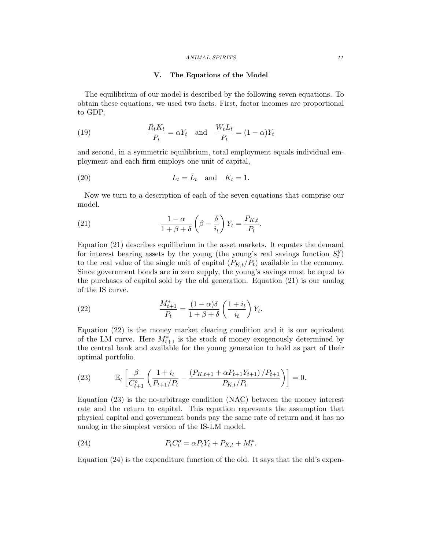#### ANIMAL SPIRITS 11

### V. The Equations of the Model

The equilibrium of our model is described by the following seven equations. To obtain these equations, we used two facts. First, factor incomes are proportional to GDP,

(19) 
$$
\frac{R_t K_t}{P_t} = \alpha Y_t \text{ and } \frac{W_t L_t}{P_t} = (1 - \alpha) Y_t
$$

and second, in a symmetric equilibrium, total employment equals individual employment and each firm employs one unit of capital,

(20) 
$$
L_t = \bar{L}_t \text{ and } K_t = 1.
$$

Now we turn to a description of each of the seven equations that comprise our model.

(21) 
$$
\frac{1-\alpha}{1+\beta+\delta}\left(\beta-\frac{\delta}{i_t}\right)Y_t=\frac{P_{K,t}}{P_t}.
$$

Equation (21) describes equilibrium in the asset markets. It equates the demand for interest bearing assets by the young (the young's real savings function  $S_t^y$  $\binom{y}{t}$ to the real value of the single unit of capital  $(P_{K,t}/P_t)$  available in the economy. Since government bonds are in zero supply, the young's savings must be equal to the purchases of capital sold by the old generation. Equation (21) is our analog of the IS curve.

(22) 
$$
\frac{M_{t+1}^*}{P_t} = \frac{(1-\alpha)\delta}{1+\beta+\delta} \left(\frac{1+i_t}{i_t}\right) Y_t.
$$

Equation (22) is the money market clearing condition and it is our equivalent of the LM curve. Here  $M^*_{t+1}$  is the stock of money exogenously determined by the central bank and available for the young generation to hold as part of their optimal portfolio.

(23) 
$$
\mathbb{E}_t \left[ \frac{\beta}{C_{t+1}^o} \left( \frac{1+i_t}{P_{t+1}/P_t} - \frac{\left(P_{K,t+1} + \alpha P_{t+1} Y_{t+1}\right) / P_{t+1}}{P_{K,t}/P_t} \right) \right] = 0.
$$

Equation (23) is the no-arbitrage condition (NAC) between the money interest rate and the return to capital. This equation represents the assumption that physical capital and government bonds pay the same rate of return and it has no analog in the simplest version of the IS-LM model.

(24) 
$$
P_t C_t^o = \alpha P_t Y_t + P_{K,t} + M_t^*.
$$

Equation (24) is the expenditure function of the old. It says that the old's expen-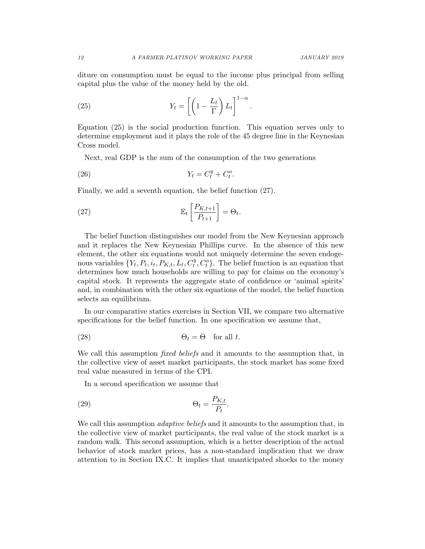diture on consumption must be equal to the income plus principal from selling capital plus the value of the money held by the old.

(25) 
$$
Y_t = \left[ \left( 1 - \frac{L_t}{\Gamma} \right) L_t \right]^{1-\alpha}.
$$

Equation (25) is the social production function. This equation serves only to determine employment and it plays the role of the 45 degree line in the Keynesian Cross model.

Next, real GDP is the sum of the consumption of the two generations

$$
(26) \t\t Y_t = C_t^y + C_t^o.
$$

Finally, we add a seventh equation, the belief function (27).

(27) 
$$
\mathbb{E}_t\left[\frac{P_{K,t+1}}{P_{t+1}}\right] = \Theta_t.
$$

The belief function distinguishes our model from the New Keynesian approach and it replaces the New Keynesian Phillips curve. In the absence of this new element, the other six equations would not uniquely determine the seven endogenous variables  $\{Y_t, P_t, i_t, P_{K,t}, L_t, C_t^y, C_t^o\}$ . The belief function is an equation that determines how much households are willing to pay for claims on the economy's capital stock. It represents the aggregate state of confidence or 'animal spirits' and, in combination with the other six equations of the model, the belief function selects an equilibrium.

In our comparative statics exercises in Section VII, we compare two alternative specifications for the belief function. In one specification we assume that,

(28) 
$$
\Theta_t = \Theta \quad \text{for all } t.
$$

We call this assumption *fixed beliefs* and it amounts to the assumption that, in the collective view of asset market participants, the stock market has some fixed real value measured in terms of the CPI.

In a second specification we assume that

(29) 
$$
\Theta_t = \frac{P_{K,t}}{P_t}.
$$

We call this assumption *adaptive beliefs* and it amounts to the assumption that, in the collective view of market participants, the real value of the stock market is a random walk. This second assumption, which is a better description of the actual behavior of stock market prices, has a non-standard implication that we draw attention to in Section IX.C. It implies that unanticipated shocks to the money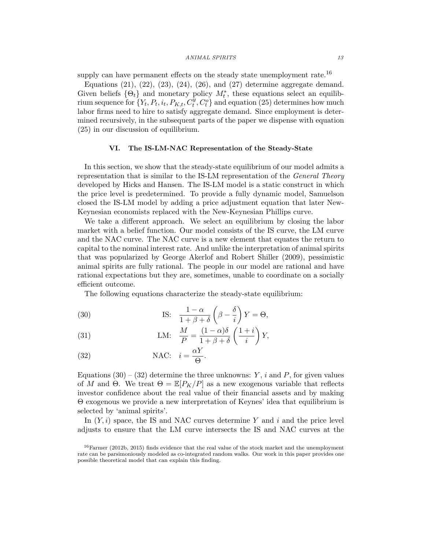#### ANIMAL SPIRITS 13

supply can have permanent effects on the steady state unemployment rate.<sup>16</sup>

Equations  $(21)$ ,  $(22)$ ,  $(23)$ ,  $(24)$ ,  $(26)$ , and  $(27)$  determine aggregate demand. Given beliefs  $\{\Theta_t\}$  and monetary policy  $M_t^*$ , these equations select an equilibrium sequence for  $\{Y_t, P_t, i_t, P_{K,t}, C_t^y, C_t^o\}$  and equation (25) determines how much labor firms need to hire to satisfy aggregate demand. Since employment is determined recursively, in the subsequent parts of the paper we dispense with equation (25) in our discussion of equilibrium.

### VI. The IS-LM-NAC Representation of the Steady-State

In this section, we show that the steady-state equilibrium of our model admits a representation that is similar to the IS-LM representation of the *General Theory* developed by Hicks and Hansen. The IS-LM model is a static construct in which the price level is predetermined. To provide a fully dynamic model, Samuelson closed the IS-LM model by adding a price adjustment equation that later New-Keynesian economists replaced with the New-Keynesian Phillips curve.

We take a different approach. We select an equilibrium by closing the labor market with a belief function. Our model consists of the IS curve, the LM curve and the NAC curve. The NAC curve is a new element that equates the return to capital to the nominal interest rate. And unlike the interpretation of animal spirits that was popularized by George Akerlof and Robert Shiller (2009), pessimistic animal spirits are fully rational. The people in our model are rational and have rational expectations but they are, sometimes, unable to coordinate on a socially efficient outcome.

The following equations characterize the steady-state equilibrium:

(30) IS: 
$$
\frac{1-\alpha}{1+\beta+\delta} \left(\beta - \frac{\delta}{i}\right) Y = \Theta,
$$

(31) LM: 
$$
\frac{M}{P} = \frac{(1-\alpha)\delta}{1+\beta+\delta} \left(\frac{1+i}{i}\right) Y,
$$

(32) NAC: 
$$
i = \frac{\alpha Y}{\Theta}
$$
.

Equations  $(30) - (32)$  determine the three unknowns: Y, i and P, for given values of M and Θ. We treat  $\Theta = \mathbb{E}[P_K/P]$  as a new exogenous variable that reflects investor confidence about the real value of their financial assets and by making Θ exogenous we provide a new interpretation of Keynes' idea that equilibrium is selected by 'animal spirits'.

In  $(Y, i)$  space, the IS and NAC curves determine Y and i and the price level adjusts to ensure that the LM curve intersects the IS and NAC curves at the

<sup>16</sup>Farmer (2012b, 2015) finds evidence that the real value of the stock market and the unemployment rate can be parsimoniously modeled as co-integrated random walks. Our work in this paper provides one possible theoretical model that can explain this finding.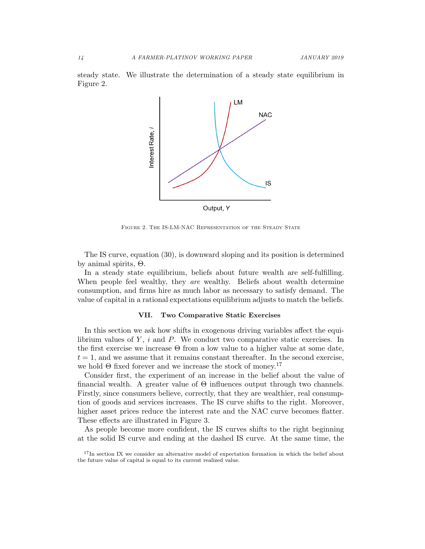steady state. We illustrate the determination of a steady state equilibrium in Figure 2.



FIGURE 2. THE IS-LM-NAC REPRESENTATION OF THE STEADY STATE

The IS curve, equation (30), is downward sloping and its position is determined by animal spirits, Θ.

In a steady state equilibrium, beliefs about future wealth are self-fulfilling. When people feel wealthy, they are wealthy. Beliefs about wealth determine consumption, and firms hire as much labor as necessary to satisfy demand. The value of capital in a rational expectations equilibrium adjusts to match the beliefs.

### VII. Two Comparative Static Exercises

In this section we ask how shifts in exogenous driving variables affect the equilibrium values of  $Y$ , i and  $P$ . We conduct two comparative static exercises. In the first exercise we increase Θ from a low value to a higher value at some date,  $t = 1$ , and we assume that it remains constant thereafter. In the second exercise, we hold  $\Theta$  fixed forever and we increase the stock of money.<sup>17</sup>

Consider first, the experiment of an increase in the belief about the value of financial wealth. A greater value of  $\Theta$  influences output through two channels. Firstly, since consumers believe, correctly, that they are wealthier, real consumption of goods and services increases. The IS curve shifts to the right. Moreover, higher asset prices reduce the interest rate and the NAC curve becomes flatter. These effects are illustrated in Figure 3.

As people become more confident, the IS curves shifts to the right beginning at the solid IS curve and ending at the dashed IS curve. At the same time, the

<sup>&</sup>lt;sup>17</sup>In section IX we consider an alternative model of expectation formation in which the belief about the future value of capital is equal to its current realized value.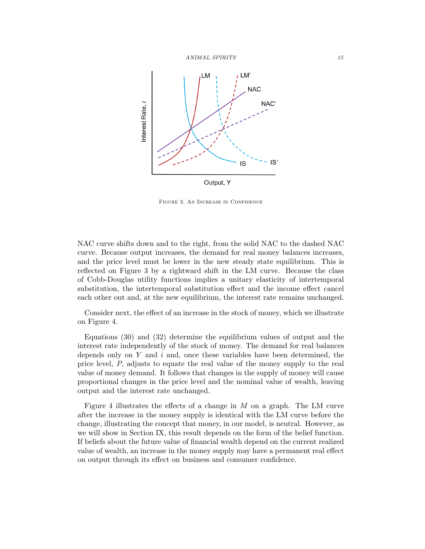

Figure 3. An Increase in Confidence

NAC curve shifts down and to the right, from the solid NAC to the dashed NAC curve. Because output increases, the demand for real money balances increases, and the price level must be lower in the new steady state equilibrium. This is reflected on Figure 3 by a rightward shift in the LM curve. Because the class of Cobb-Douglas utility functions implies a unitary elasticity of intertemporal substitution, the intertemporal substitution effect and the income effect cancel each other out and, at the new equilibrium, the interest rate remains unchanged.

Consider next, the effect of an increase in the stock of money, which we illustrate on Figure 4.

Equations (30) and (32) determine the equilibrium values of output and the interest rate independently of the stock of money. The demand for real balances depends only on Y and  $i$  and, once these variables have been determined, the price level, P, adjusts to equate the real value of the money supply to the real value of money demand. It follows that changes in the supply of money will cause proportional changes in the price level and the nominal value of wealth, leaving output and the interest rate unchanged.

Figure 4 illustrates the effects of a change in M on a graph. The LM curve after the increase in the money supply is identical with the LM curve before the change, illustrating the concept that money, in our model, is neutral. However, as we will show in Section IX, this result depends on the form of the belief function. If beliefs about the future value of financial wealth depend on the current realized value of wealth, an increase in the money supply may have a permanent real effect on output through its effect on business and consumer confidence.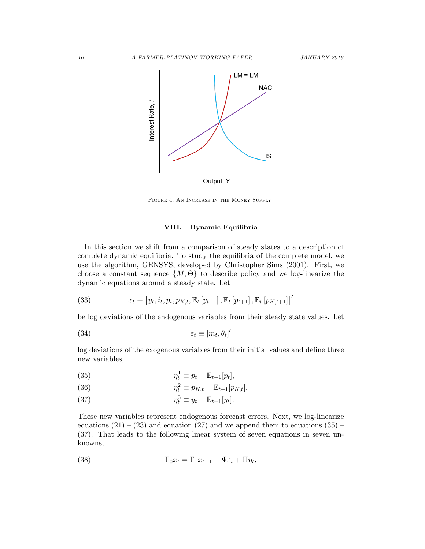

Figure 4. An Increase in the Money Supply

### VIII. Dynamic Equilibria

In this section we shift from a comparison of steady states to a description of complete dynamic equilibria. To study the equilibria of the complete model, we use the algorithm, GENSYS, developed by Christopher Sims (2001). First, we choose a constant sequence  $\{M, \Theta\}$  to describe policy and we log-linearize the dynamic equations around a steady state. Let

(33) 
$$
x_t \equiv [y_t, \tilde{i}_t, p_t, p_{K,t}, \mathbb{E}_t [y_{t+1}], \mathbb{E}_t [p_{t+1}], \mathbb{E}_t [p_{K,t+1}]]'
$$

be log deviations of the endogenous variables from their steady state values. Let

$$
(34) \qquad \qquad \varepsilon_t \equiv [m_t, \theta_t]'
$$

log deviations of the exogenous variables from their initial values and define three new variables,

(35) 
$$
\eta_t^1 \equiv p_t - \mathbb{E}_{t-1}[p_t],
$$

(36) 
$$
\eta_t^2 \equiv p_{K,t} - \mathbb{E}_{t-1}[p_{K,t}],
$$

(37) 
$$
\eta_t^3 \equiv y_t - \mathbb{E}_{t-1}[y_t].
$$

These new variables represent endogenous forecast errors. Next, we log-linearize equations  $(21) - (23)$  and equation  $(27)$  and we append them to equations  $(35)$  – (37). That leads to the following linear system of seven equations in seven unknowns,

(38) 
$$
\Gamma_0 x_t = \Gamma_1 x_{t-1} + \Psi \varepsilon_t + \Pi \eta_t,
$$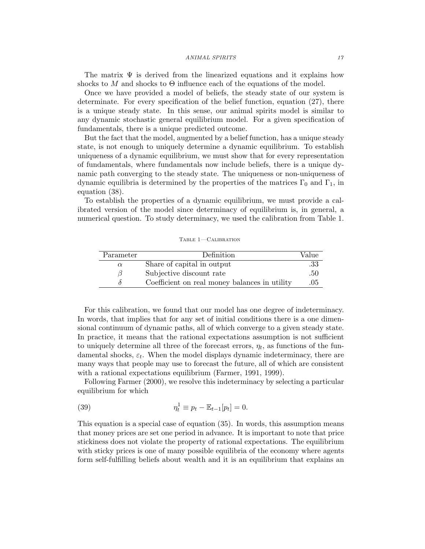#### ANIMAL SPIRITS 17

The matrix  $\Psi$  is derived from the linearized equations and it explains how shocks to M and shocks to  $\Theta$  influence each of the equations of the model.

Once we have provided a model of beliefs, the steady state of our system is determinate. For every specification of the belief function, equation (27), there is a unique steady state. In this sense, our animal spirits model is similar to any dynamic stochastic general equilibrium model. For a given specification of fundamentals, there is a unique predicted outcome.

But the fact that the model, augmented by a belief function, has a unique steady state, is not enough to uniquely determine a dynamic equilibrium. To establish uniqueness of a dynamic equilibrium, we must show that for every representation of fundamentals, where fundamentals now include beliefs, there is a unique dynamic path converging to the steady state. The uniqueness or non-uniqueness of dynamic equilibria is determined by the properties of the matrices  $\Gamma_0$  and  $\Gamma_1$ , in equation (38).

To establish the properties of a dynamic equilibrium, we must provide a calibrated version of the model since determinacy of equilibrium is, in general, a numerical question. To study determinacy, we used the calibration from Table 1.

Table 1—Calibration

| Parameter | Definition                                    | Value   |
|-----------|-----------------------------------------------|---------|
| $\alpha$  | Share of capital in output                    | .33     |
|           | Subjective discount rate                      | .50     |
|           | Coefficient on real money balances in utility | $.05 -$ |

For this calibration, we found that our model has one degree of indeterminacy. In words, that implies that for any set of initial conditions there is a one dimensional continuum of dynamic paths, all of which converge to a given steady state. In practice, it means that the rational expectations assumption is not sufficient to uniquely determine all three of the forecast errors,  $\eta_t$ , as functions of the fundamental shocks,  $\varepsilon_t$ . When the model displays dynamic indeterminacy, there are many ways that people may use to forecast the future, all of which are consistent with a rational expectations equilibrium (Farmer, 1991, 1999).

Following Farmer (2000), we resolve this indeterminacy by selecting a particular equilibrium for which

(39) 
$$
\eta_t^1 \equiv p_t - \mathbb{E}_{t-1}[p_t] = 0.
$$

This equation is a special case of equation (35). In words, this assumption means that money prices are set one period in advance. It is important to note that price stickiness does not violate the property of rational expectations. The equilibrium with sticky prices is one of many possible equilibria of the economy where agents form self-fulfilling beliefs about wealth and it is an equilibrium that explains an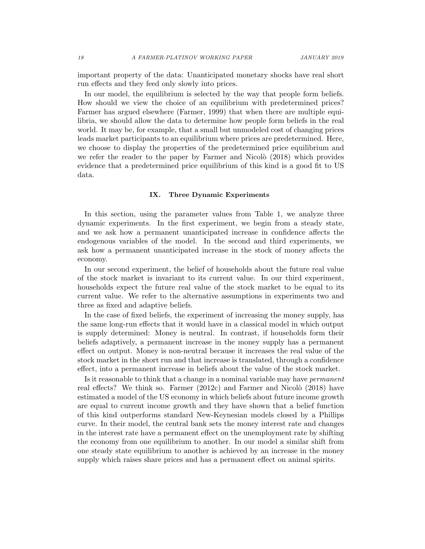important property of the data: Unanticipated monetary shocks have real short run effects and they feed only slowly into prices.

In our model, the equilibrium is selected by the way that people form beliefs. How should we view the choice of an equilibrium with predetermined prices? Farmer has argued elsewhere (Farmer, 1999) that when there are multiple equilibria, we should allow the data to determine how people form beliefs in the real world. It may be, for example, that a small but unmodeled cost of changing prices leads market participants to an equilibrium where prices are predetermined. Here, we choose to display the properties of the predetermined price equilibrium and we refer the reader to the paper by Farmer and Nicolò  $(2018)$  which provides evidence that a predetermined price equilibrium of this kind is a good fit to US data.

### IX. Three Dynamic Experiments

In this section, using the parameter values from Table 1, we analyze three dynamic experiments. In the first experiment, we begin from a steady state, and we ask how a permanent unanticipated increase in confidence affects the endogenous variables of the model. In the second and third experiments, we ask how a permanent unanticipated increase in the stock of money affects the economy.

In our second experiment, the belief of households about the future real value of the stock market is invariant to its current value. In our third experiment, households expect the future real value of the stock market to be equal to its current value. We refer to the alternative assumptions in experiments two and three as fixed and adaptive beliefs.

In the case of fixed beliefs, the experiment of increasing the money supply, has the same long-run effects that it would have in a classical model in which output is supply determined: Money is neutral. In contrast, if households form their beliefs adaptively, a permanent increase in the money supply has a permanent effect on output. Money is non-neutral because it increases the real value of the stock market in the short run and that increase is translated, through a confidence effect, into a permanent increase in beliefs about the value of the stock market.

Is it reasonable to think that a change in a nominal variable may have permanent real effects? We think so. Farmer  $(2012c)$  and Farmer and Nicolò  $(2018)$  have estimated a model of the US economy in which beliefs about future income growth are equal to current income growth and they have shown that a belief function of this kind outperforms standard New-Keynesian models closed by a Phillips curve. In their model, the central bank sets the money interest rate and changes in the interest rate have a permanent effect on the unemployment rate by shifting the economy from one equilibrium to another. In our model a similar shift from one steady state equilibrium to another is achieved by an increase in the money supply which raises share prices and has a permanent effect on animal spirits.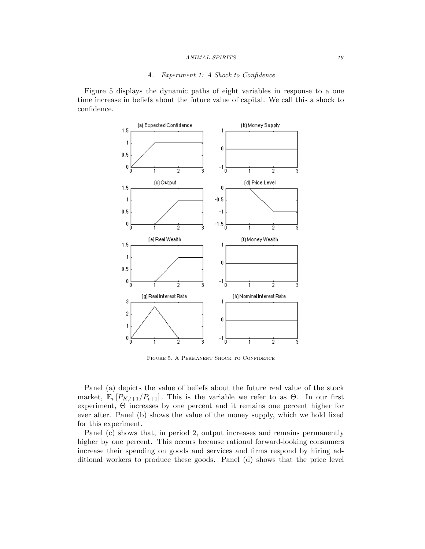#### ANIMAL SPIRITS 19

#### A. Experiment 1: A Shock to Confidence

Figure 5 displays the dynamic paths of eight variables in response to a one time increase in beliefs about the future value of capital. We call this a shock to confidence.



Figure 5. A Permanent Shock to Confidence

Panel (a) depicts the value of beliefs about the future real value of the stock market,  $\mathbb{E}_t [P_{K,t+1}/P_{t+1}]$ . This is the variable we refer to as  $\Theta$ . In our first experiment, Θ increases by one percent and it remains one percent higher for ever after. Panel (b) shows the value of the money supply, which we hold fixed for this experiment.

Panel (c) shows that, in period 2, output increases and remains permanently higher by one percent. This occurs because rational forward-looking consumers increase their spending on goods and services and firms respond by hiring additional workers to produce these goods. Panel (d) shows that the price level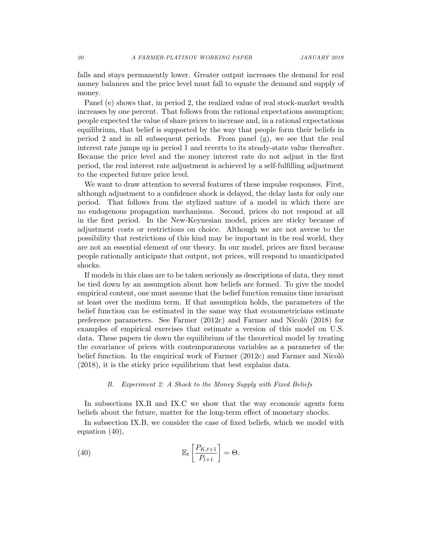falls and stays permanently lower. Greater output increases the demand for real money balances and the price level must fall to equate the demand and supply of money.

Panel (e) shows that, in period 2, the realized value of real stock-market wealth increases by one percent. That follows from the rational expectations assumption; people expected the value of share prices to increase and, in a rational expectations equilibrium, that belief is supported by the way that people form their beliefs in period 2 and in all subsequent periods. From panel  $(g)$ , we see that the real interest rate jumps up in period 1 and reverts to its steady-state value thereafter. Because the price level and the money interest rate do not adjust in the first period, the real interest rate adjustment is achieved by a self-fulfilling adjustment to the expected future price level.

We want to draw attention to several features of these impulse responses. First, although adjustment to a confidence shock is delayed, the delay lasts for only one period. That follows from the stylized nature of a model in which there are no endogenous propagation mechanisms. Second, prices do not respond at all in the first period. In the New-Keynesian model, prices are sticky because of adjustment costs or restrictions on choice. Although we are not averse to the possibility that restrictions of this kind may be important in the real world, they are not an essential element of our theory. In our model, prices are fixed because people rationally anticipate that output, not prices, will respond to unanticipated shocks.

If models in this class are to be taken seriously as descriptions of data, they must be tied down by an assumption about how beliefs are formed. To give the model empirical content, one must assume that the belief function remains time invariant at least over the medium term. If that assumption holds, the parameters of the belief function can be estimated in the same way that econometricians estimate preference parameters. See Farmer  $(2012c)$  and Farmer and Nicolò  $(2018)$  for examples of empirical exercises that estimate a version of this model on U.S. data. These papers tie down the equilibrium of the theoretical model by treating the covariance of prices with contemporaneous variables as a parameter of the belief function. In the empirical work of Farmer  $(2012c)$  and Farmer and Nicolo (2018), it is the sticky price equilibrium that best explains data.

#### B. Experiment 2: A Shock to the Money Supply with Fixed Beliefs

In subsections IX.B and IX.C we show that the way economic agents form beliefs about the future, matter for the long-term effect of monetary shocks.

In subsection IX.B, we consider the case of fixed beliefs, which we model with equation (40),

(40) 
$$
\mathbb{E}_t\left[\frac{P_{K,t+1}}{P_{t+1}}\right] = \Theta.
$$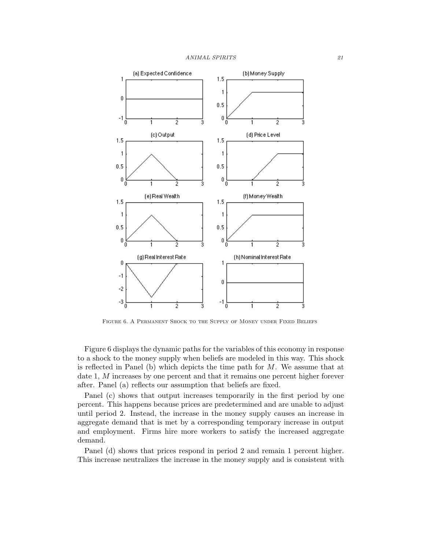

Figure 6. A Permanent Shock to the Supply of Money under Fixed Beliefs

Figure 6 displays the dynamic paths for the variables of this economy in response to a shock to the money supply when beliefs are modeled in this way. This shock is reflected in Panel (b) which depicts the time path for  $M$ . We assume that at date 1, M increases by one percent and that it remains one percent higher forever after. Panel (a) reflects our assumption that beliefs are fixed.

Panel (c) shows that output increases temporarily in the first period by one percent. This happens because prices are predetermined and are unable to adjust until period 2. Instead, the increase in the money supply causes an increase in aggregate demand that is met by a corresponding temporary increase in output and employment. Firms hire more workers to satisfy the increased aggregate demand.

Panel (d) shows that prices respond in period 2 and remain 1 percent higher. This increase neutralizes the increase in the money supply and is consistent with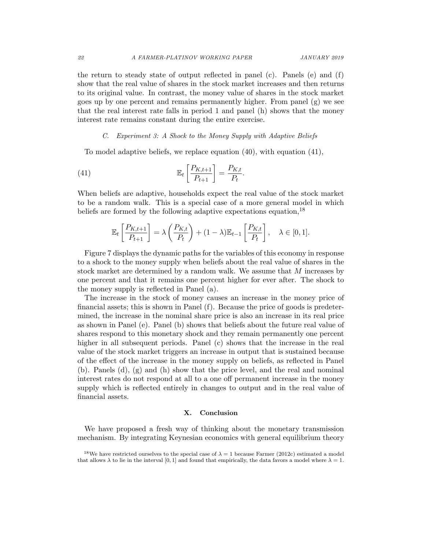the return to steady state of output reflected in panel (c). Panels (e) and (f) show that the real value of shares in the stock market increases and then returns to its original value. In contrast, the money value of shares in the stock market goes up by one percent and remains permanently higher. From panel  $(g)$  we see that the real interest rate falls in period 1 and panel (h) shows that the money interest rate remains constant during the entire exercise.

### C. Experiment 3: A Shock to the Money Supply with Adaptive Beliefs

To model adaptive beliefs, we replace equation (40), with equation (41),

(41) 
$$
\mathbb{E}_t\left[\frac{P_{K,t+1}}{P_{t+1}}\right] = \frac{P_{K,t}}{P_t}.
$$

When beliefs are adaptive, households expect the real value of the stock market to be a random walk. This is a special case of a more general model in which beliefs are formed by the following adaptive expectations equation,  $^{18}$ 

$$
\mathbb{E}_t\left[\frac{P_{K,t+1}}{P_{t+1}}\right] = \lambda\left(\frac{P_{K,t}}{P_t}\right) + (1-\lambda)\mathbb{E}_{t-1}\left[\frac{P_{K,t}}{P_t}\right], \quad \lambda \in [0,1].
$$

Figure 7 displays the dynamic paths for the variables of this economy in response to a shock to the money supply when beliefs about the real value of shares in the stock market are determined by a random walk. We assume that  $M$  increases by one percent and that it remains one percent higher for ever after. The shock to the money supply is reflected in Panel (a).

The increase in the stock of money causes an increase in the money price of financial assets; this is shown in Panel (f). Because the price of goods is predetermined, the increase in the nominal share price is also an increase in its real price as shown in Panel (e). Panel (b) shows that beliefs about the future real value of shares respond to this monetary shock and they remain permanently one percent higher in all subsequent periods. Panel (c) shows that the increase in the real value of the stock market triggers an increase in output that is sustained because of the effect of the increase in the money supply on beliefs, as reflected in Panel (b). Panels (d), (g) and (h) show that the price level, and the real and nominal interest rates do not respond at all to a one off permanent increase in the money supply which is reflected entirely in changes to output and in the real value of financial assets.

#### X. Conclusion

We have proposed a fresh way of thinking about the monetary transmission mechanism. By integrating Keynesian economics with general equilibrium theory

<sup>&</sup>lt;sup>18</sup>We have restricted ourselves to the special case of  $\lambda = 1$  because Farmer (2012c) estimated a model that allows  $\lambda$  to lie in the interval [0, 1] and found that empirically, the data favors a model where  $\lambda = 1$ .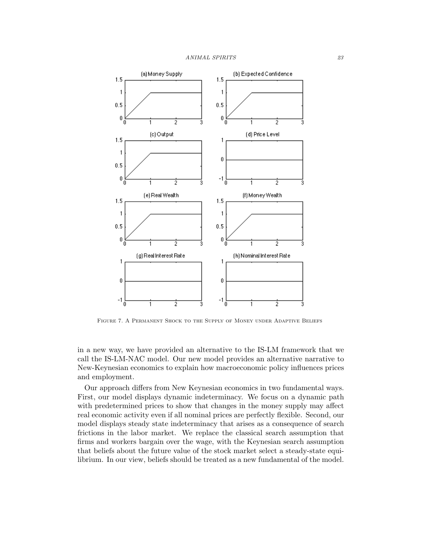

Figure 7. A Permanent Shock to the Supply of Money under Adaptive Beliefs

in a new way, we have provided an alternative to the IS-LM framework that we call the IS-LM-NAC model. Our new model provides an alternative narrative to New-Keynesian economics to explain how macroeconomic policy influences prices and employment.

Our approach differs from New Keynesian economics in two fundamental ways. First, our model displays dynamic indeterminacy. We focus on a dynamic path with predetermined prices to show that changes in the money supply may affect real economic activity even if all nominal prices are perfectly flexible. Second, our model displays steady state indeterminacy that arises as a consequence of search frictions in the labor market. We replace the classical search assumption that firms and workers bargain over the wage, with the Keynesian search assumption that beliefs about the future value of the stock market select a steady-state equilibrium. In our view, beliefs should be treated as a new fundamental of the model.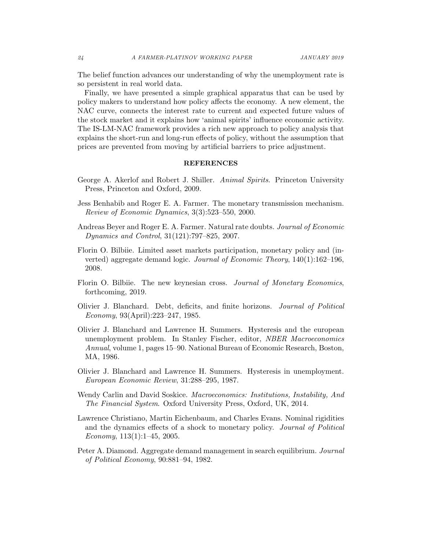The belief function advances our understanding of why the unemployment rate is so persistent in real world data.

Finally, we have presented a simple graphical apparatus that can be used by policy makers to understand how policy affects the economy. A new element, the NAC curve, connects the interest rate to current and expected future values of the stock market and it explains how 'animal spirits' influence economic activity. The IS-LM-NAC framework provides a rich new approach to policy analysis that explains the short-run and long-run effects of policy, without the assumption that prices are prevented from moving by artificial barriers to price adjustment.

#### **REFERENCES**

- George A. Akerlof and Robert J. Shiller. Animal Spirits. Princeton University Press, Princeton and Oxford, 2009.
- Jess Benhabib and Roger E. A. Farmer. The monetary transmission mechanism. Review of Economic Dynamics, 3(3):523–550, 2000.
- Andreas Beyer and Roger E. A. Farmer. Natural rate doubts. Journal of Economic Dynamics and Control, 31(121):797–825, 2007.
- Florin O. Bilbiie. Limited asset markets participation, monetary policy and (inverted) aggregate demand logic. Journal of Economic Theory,  $140(1):162-196$ , 2008.
- Florin O. Bilbiie. The new keynesian cross. Journal of Monetary Economics, forthcoming, 2019.
- Olivier J. Blanchard. Debt, deficits, and finite horizons. Journal of Political Economy, 93(April):223–247, 1985.
- Olivier J. Blanchard and Lawrence H. Summers. Hysteresis and the european unemployment problem. In Stanley Fischer, editor, NBER Macroeconomics Annual, volume 1, pages 15–90. National Bureau of Economic Research, Boston, MA, 1986.
- Olivier J. Blanchard and Lawrence H. Summers. Hysteresis in unemployment. European Economic Review, 31:288–295, 1987.
- Wendy Carlin and David Soskice. Macroeconomics: Institutions, Instability, And The Financial System. Oxford University Press, Oxford, UK, 2014.
- Lawrence Christiano, Martin Eichenbaum, and Charles Evans. Nominal rigidities and the dynamics effects of a shock to monetary policy. Journal of Political Economy,  $113(1):1-45$ ,  $2005$ .
- Peter A. Diamond. Aggregate demand management in search equilibrium. Journal of Political Economy, 90:881–94, 1982.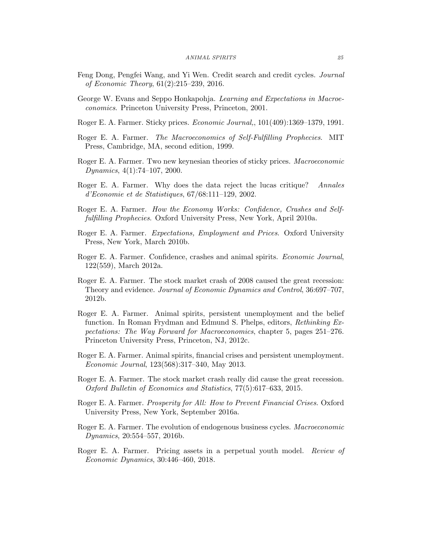- Feng Dong, Pengfei Wang, and Yi Wen. Credit search and credit cycles. Journal of Economic Theory, 61(2):215–239, 2016.
- George W. Evans and Seppo Honkapohja. Learning and Expectations in Macroeconomics. Princeton University Press, Princeton, 2001.
- Roger E. A. Farmer. Sticky prices. Economic Journal,, 101(409):1369–1379, 1991.
- Roger E. A. Farmer. The Macroeconomics of Self-Fulfilling Prophecies. MIT Press, Cambridge, MA, second edition, 1999.
- Roger E. A. Farmer. Two new keynesian theories of sticky prices. Macroeconomic Dynamics, 4(1):74–107, 2000.
- Roger E. A. Farmer. Why does the data reject the lucas critique? Annales d'Economie et de Statistiques, 67/68:111–129, 2002.
- Roger E. A. Farmer. How the Economy Works: Confidence, Crashes and Selffulfilling Prophecies. Oxford University Press, New York, April 2010a.
- Roger E. A. Farmer. Expectations, Employment and Prices. Oxford University Press, New York, March 2010b.
- Roger E. A. Farmer. Confidence, crashes and animal spirits. Economic Journal, 122(559), March 2012a.
- Roger E. A. Farmer. The stock market crash of 2008 caused the great recession: Theory and evidence. Journal of Economic Dynamics and Control, 36:697–707, 2012b.
- Roger E. A. Farmer. Animal spirits, persistent unemployment and the belief function. In Roman Frydman and Edmund S. Phelps, editors, Rethinking Expectations: The Way Forward for Macroeconomics, chapter 5, pages 251–276. Princeton University Press, Princeton, NJ, 2012c.
- Roger E. A. Farmer. Animal spirits, financial crises and persistent unemployment. Economic Journal, 123(568):317–340, May 2013.
- Roger E. A. Farmer. The stock market crash really did cause the great recession. Oxford Bulletin of Economics and Statistics, 77(5):617–633, 2015.
- Roger E. A. Farmer. Prosperity for All: How to Prevent Financial Crises. Oxford University Press, New York, September 2016a.
- Roger E. A. Farmer. The evolution of endogenous business cycles. Macroeconomic Dynamics, 20:554–557, 2016b.
- Roger E. A. Farmer. Pricing assets in a perpetual youth model. Review of Economic Dynamics, 30:446–460, 2018.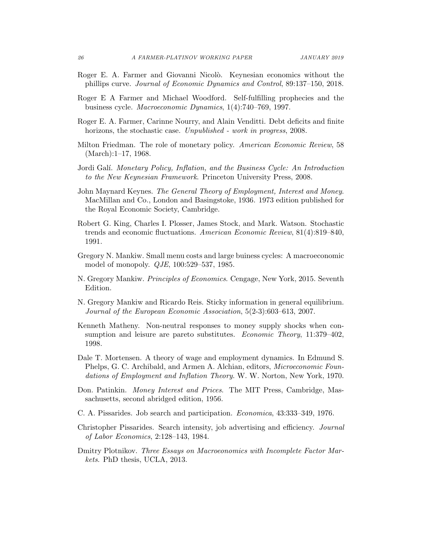- Roger E. A. Farmer and Giovanni Nicolò. Keynesian economics without the phillips curve. Journal of Economic Dynamics and Control, 89:137–150, 2018.
- Roger E A Farmer and Michael Woodford. Self-fulfilling prophecies and the business cycle. Macroeconomic Dynamics, 1(4):740–769, 1997.
- Roger E. A. Farmer, Carinne Nourry, and Alain Venditti. Debt deficits and finite horizons, the stochastic case. Unpublished - work in progress, 2008.
- Milton Friedman. The role of monetary policy. American Economic Review, 58 (March):1–17, 1968.
- Jordi Galí. Monetary Policy, Inflation, and the Business Cycle: An Introduction to the New Keynesian Framework. Princeton University Press, 2008.
- John Maynard Keynes. The General Theory of Employment, Interest and Money. MacMillan and Co., London and Basingstoke, 1936. 1973 edition published for the Royal Economic Society, Cambridge.
- Robert G. King, Charles I. Plosser, James Stock, and Mark. Watson. Stochastic trends and economic fluctuations. American Economic Review, 81(4):819–840, 1991.
- Gregory N. Mankiw. Small menu costs and large buiness cycles: A macroeconomic model of monopoly. QJE, 100:529–537, 1985.
- N. Gregory Mankiw. Principles of Economics. Cengage, New York, 2015. Seventh Edition.
- N. Gregory Mankiw and Ricardo Reis. Sticky information in general equilibrium. Journal of the European Economic Association, 5(2-3):603–613, 2007.
- Kenneth Matheny. Non-neutral responses to money supply shocks when consumption and leisure are pareto substitutes. *Economic Theory*, 11:379–402, 1998.
- Dale T. Mortensen. A theory of wage and employment dynamics. In Edmund S. Phelps, G. C. Archibald, and Armen A. Alchian, editors, Microeconomic Foundations of Employment and Inflation Theory. W. W. Norton, New York, 1970.
- Don. Patinkin. Money Interest and Prices. The MIT Press, Cambridge, Massachusetts, second abridged edition, 1956.
- C. A. Pissarides. Job search and participation. Economica, 43:333–349, 1976.
- Christopher Pissarides. Search intensity, job advertising and efficiency. Journal of Labor Economics, 2:128–143, 1984.
- Dmitry Plotnikov. Three Essays on Macroeonomics with Incomplete Factor Markets. PhD thesis, UCLA, 2013.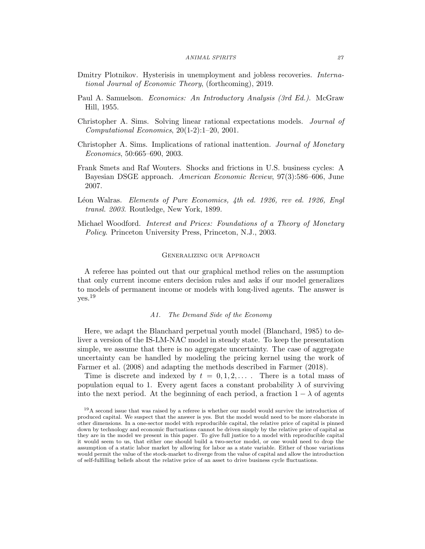- Dmitry Plotnikov. Hysterisis in unemployment and jobless recoveries. International Journal of Economic Theory, (forthcoming), 2019.
- Paul A. Samuelson. Economics: An Introductory Analysis (3rd Ed.). McGraw Hill, 1955.
- Christopher A. Sims. Solving linear rational expectations models. Journal of Computational Economics, 20(1-2):1–20, 2001.
- Christopher A. Sims. Implications of rational inattention. Journal of Monetary Economics, 50:665–690, 2003.
- Frank Smets and Raf Wouters. Shocks and frictions in U.S. business cycles: A Bayesian DSGE approach. American Economic Review, 97(3):586–606, June 2007.
- Léon Walras. Elements of Pure Economics, 4th ed. 1926, rev ed. 1926, Engl transl. 2003. Routledge, New York, 1899.
- Michael Woodford. Interest and Prices: Foundations of a Theory of Monetary Policy. Princeton University Press, Princeton, N.J., 2003.

#### Generalizing our Approach

A referee has pointed out that our graphical method relies on the assumption that only current income enters decision rules and asks if our model generalizes to models of permanent income or models with long-lived agents. The answer is  $ves.<sup>19</sup>$ 

#### A1. The Demand Side of the Economy

Here, we adapt the Blanchard perpetual youth model (Blanchard, 1985) to deliver a version of the IS-LM-NAC model in steady state. To keep the presentation simple, we assume that there is no aggregate uncertainty. The case of aggregate uncertainty can be handled by modeling the pricing kernel using the work of Farmer et al. (2008) and adapting the methods described in Farmer (2018).

Time is discrete and indexed by  $t = 0, 1, 2, \ldots$ . There is a total mass of population equal to 1. Every agent faces a constant probability  $\lambda$  of surviving into the next period. At the beginning of each period, a fraction  $1 - \lambda$  of agents

 $19A$  second issue that was raised by a referee is whether our model would survive the introduction of produced capital. We suspect that the answer is yes. But the model would need to be more elaborate in other dimensions. In a one-sector model with reproducible capital, the relative price of capital is pinned down by technology and economic fluctuations cannot be driven simply by the relative price of capital as they are in the model we present in this paper. To give full justice to a model with reproducible capital it would seem to us, that either one should build a two-sector model, or one would need to drop the assumption of a static labor market by allowing for labor as a state variable. Either of those variations would permit the value of the stock-market to diverge from the value of capital and allow the introduction of self-fulfilling beliefs about the relative price of an asset to drive business cycle fluctuations.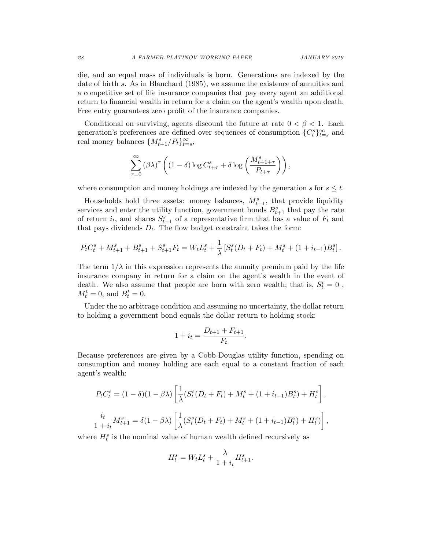die, and an equal mass of individuals is born. Generations are indexed by the date of birth s. As in Blanchard (1985), we assume the existence of annuities and a competitive set of life insurance companies that pay every agent an additional return to financial wealth in return for a claim on the agent's wealth upon death. Free entry guarantees zero profit of the insurance companies.

Conditional on surviving, agents discount the future at rate  $0 < \beta < 1$ . Each generation's preferences are defined over sequences of consumption  ${C_{t}^{s}}_{t=s}^{\infty}$  and real money balances  $\{M_{t+1}^s/P_t\}_{t=s}^{\infty}$ ,

$$
\sum_{\tau=0}^{\infty} (\beta \lambda)^{\tau} \left( (1-\delta) \log C_{t+\tau}^s + \delta \log \left( \frac{M_{t+1+\tau}^s}{P_{t+\tau}} \right) \right),
$$

where consumption and money holdings are indexed by the generation s for  $s \leq t$ .

Households hold three assets: money balances,  $M_{t+1}^s$ , that provide liquidity services and enter the utility function, government bonds  $B_{t+1}^s$  that pay the rate of return  $i_t$ , and shares  $S_{t+1}^s$  of a representative firm that has a value of  $F_t$  and that pays dividends  $D_t$ . The flow budget constraint takes the form:

$$
P_t C_t^s + M_{t+1}^s + B_{t+1}^s + S_{t+1}^s F_t = W_t L_t^s + \frac{1}{\lambda} \left[ S_t^s (D_t + F_t) + M_t^s + (1 + i_{t-1}) B_t^s \right].
$$

The term  $1/\lambda$  in this expression represents the annuity premium paid by the life insurance company in return for a claim on the agent's wealth in the event of death. We also assume that people are born with zero wealth; that is,  $S_t^t = 0$  ,  $M_t^t = 0$ , and  $B_t^t = 0$ .

Under the no arbitrage condition and assuming no uncertainty, the dollar return to holding a government bond equals the dollar return to holding stock:

$$
1 + i_t = \frac{D_{t+1} + F_{t+1}}{F_t}.
$$

Because preferences are given by a Cobb-Douglas utility function, spending on consumption and money holding are each equal to a constant fraction of each agent's wealth:

$$
P_t C_t^s = (1 - \delta)(1 - \beta \lambda) \left[ \frac{1}{\lambda} (S_t^s (D_t + F_t) + M_t^s + (1 + i_{t-1}) B_t^s) + H_t^s \right],
$$
  

$$
\frac{i_t}{1 + i_t} M_{t+1}^s = \delta (1 - \beta \lambda) \left[ \frac{1}{\lambda} (S_t^s (D_t + F_t) + M_t^s + (1 + i_{t-1}) B_t^s) + H_t^s) \right],
$$

where  $H_t^s$  is the nominal value of human wealth defined recursively as

$$
H_t^s = W_t L_t^s + \frac{\lambda}{1+i_t} H_{t+1}^s.
$$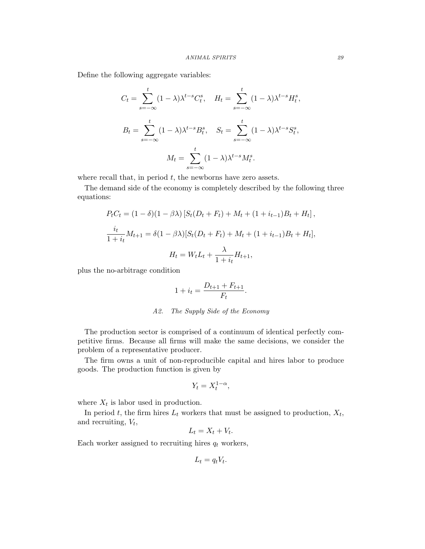Define the following aggregate variables:

$$
C_t = \sum_{s=-\infty}^t (1 - \lambda)\lambda^{t-s} C_t^s, \quad H_t = \sum_{s=-\infty}^t (1 - \lambda)\lambda^{t-s} H_t^s,
$$

$$
B_t = \sum_{s=-\infty}^t (1 - \lambda)\lambda^{t-s} B_t^s, \quad S_t = \sum_{s=-\infty}^t (1 - \lambda)\lambda^{t-s} S_t^s,
$$

$$
M_t = \sum_{s=-\infty}^t (1 - \lambda)\lambda^{t-s} M_t^s.
$$

where recall that, in period  $t$ , the newborns have zero assets.

The demand side of the economy is completely described by the following three equations:

$$
P_t C_t = (1 - \delta)(1 - \beta \lambda) \left[ S_t (D_t + F_t) + M_t + (1 + i_{t-1}) B_t + H_t \right],
$$
  

$$
\frac{i_t}{1 + i_t} M_{t+1} = \delta (1 - \beta \lambda) \left[ S_t (D_t + F_t) + M_t + (1 + i_{t-1}) B_t + H_t \right],
$$
  

$$
H_t = W_t L_t + \frac{\lambda}{1 + i_t} H_{t+1},
$$

plus the no-arbitrage condition

$$
1 + i_t = \frac{D_{t+1} + F_{t+1}}{F_t}.
$$

### A2. The Supply Side of the Economy

The production sector is comprised of a continuum of identical perfectly competitive firms. Because all firms will make the same decisions, we consider the problem of a representative producer.

The firm owns a unit of non-reproducible capital and hires labor to produce goods. The production function is given by

$$
Y_t = X_t^{1-\alpha},
$$

where  $X_t$  is labor used in production.

In period t, the firm hires  $L_t$  workers that must be assigned to production,  $X_t$ , and recruiting,  $V_t$ ,

$$
L_t = X_t + V_t.
$$

Each worker assigned to recruiting hires  $q_t$  workers,

$$
L_t = q_t V_t.
$$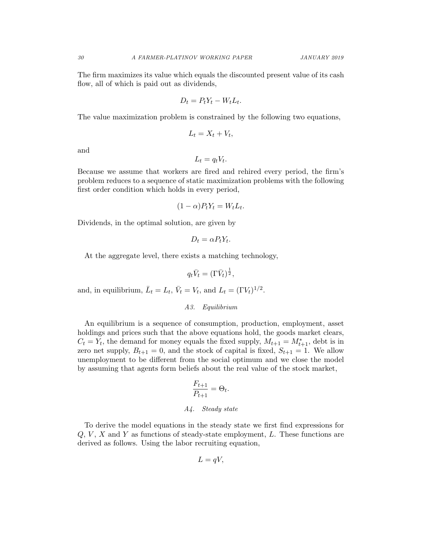The firm maximizes its value which equals the discounted present value of its cash flow, all of which is paid out as dividends,

$$
D_t = P_t Y_t - W_t L_t.
$$

The value maximization problem is constrained by the following two equations,

$$
L_t = X_t + V_t,
$$

and

$$
L_t=q_tV_t.
$$

Because we assume that workers are fired and rehired every period, the firm's problem reduces to a sequence of static maximization problems with the following first order condition which holds in every period,

$$
(1 - \alpha)P_t Y_t = W_t L_t.
$$

Dividends, in the optimal solution, are given by

$$
D_t = \alpha P_t Y_t.
$$

At the aggregate level, there exists a matching technology,

$$
q_t \bar{V}_t = (\Gamma \bar{V}_t)^{\frac{1}{2}},
$$

and, in equilibrium,  $\bar{L}_t = L_t$ ,  $\bar{V}_t = V_t$ , and  $L_t = (\Gamma V_t)^{1/2}$ .

A3. Equilibrium

An equilibrium is a sequence of consumption, production, employment, asset holdings and prices such that the above equations hold, the goods market clears,  $C_t = Y_t$ , the demand for money equals the fixed supply,  $M_{t+1} = M_{t+1}^*$ , debt is in zero net supply,  $B_{t+1} = 0$ , and the stock of capital is fixed,  $S_{t+1} = 1$ . We allow unemployment to be different from the social optimum and we close the model by assuming that agents form beliefs about the real value of the stock market,

$$
\frac{F_{t+1}}{P_{t+1}} = \Theta_t.
$$

### A4. Steady state

To derive the model equations in the steady state we first find expressions for  $Q, V, X$  and Y as functions of steady-state employment, L. These functions are derived as follows. Using the labor recruiting equation,

$$
L=qV,
$$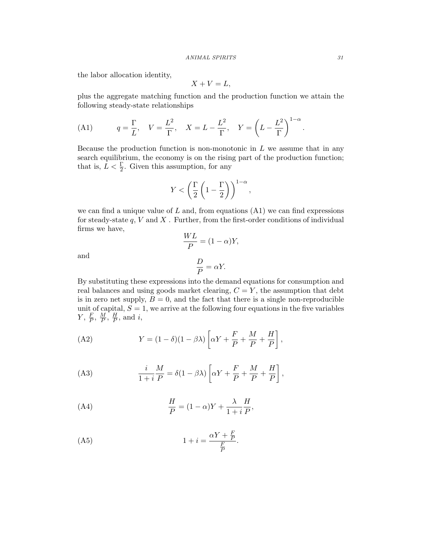the labor allocation identity,

$$
X + V = L,
$$

plus the aggregate matching function and the production function we attain the following steady-state relationships

(A1) 
$$
q = \frac{\Gamma}{L}, \quad V = \frac{L^2}{\Gamma}, \quad X = L - \frac{L^2}{\Gamma}, \quad Y = \left(L - \frac{L^2}{\Gamma}\right)^{1-\alpha}.
$$

Because the production function is non-monotonic in  $L$  we assume that in any search equilibrium, the economy is on the rising part of the production function; that is,  $L < \frac{\Gamma}{2}$ . Given this assumption, for any

$$
Y < \left(\frac{\Gamma}{2}\left(1 - \frac{\Gamma}{2}\right)\right)^{1 - \alpha},
$$

we can find a unique value of  $L$  and, from equations  $(A1)$  we can find expressions for steady-state  $q$ , V and X. Further, from the first-order conditions of individual firms we have,  $WL$ 

and

$$
\frac{P}{P} = (1 - \alpha)Y,
$$
  

$$
\frac{D}{P} = \alpha Y.
$$

By substituting these expressions into the demand equations for consumption and real balances and using goods market clearing,  $C = Y$ , the assumption that debt is in zero net supply,  $B = 0$ , and the fact that there is a single non-reproducible unit of capital,  $S = 1$ , we arrive at the following four equations in the five variables  $Y, \frac{F}{P}$  $\frac{F}{P}, \frac{M}{P}$  $\frac{M}{P}, \frac{H}{P}$  $\frac{H}{P}$ , and *i*,

(A2) 
$$
Y = (1 - \delta)(1 - \beta \lambda) \left[ \alpha Y + \frac{F}{P} + \frac{M}{P} + \frac{H}{P} \right],
$$

(A3) 
$$
\frac{i}{1+i} \frac{M}{P} = \delta(1-\beta\lambda) \left[ \alpha Y + \frac{F}{P} + \frac{M}{P} + \frac{H}{P} \right],
$$

(A4) 
$$
\frac{H}{P} = (1 - \alpha)Y + \frac{\lambda}{1 + i} \frac{H}{P},
$$

$$
(A5) \t\t\t 1 + i = \frac{\alpha Y + \frac{F}{P}}{\frac{F}{P}}.
$$